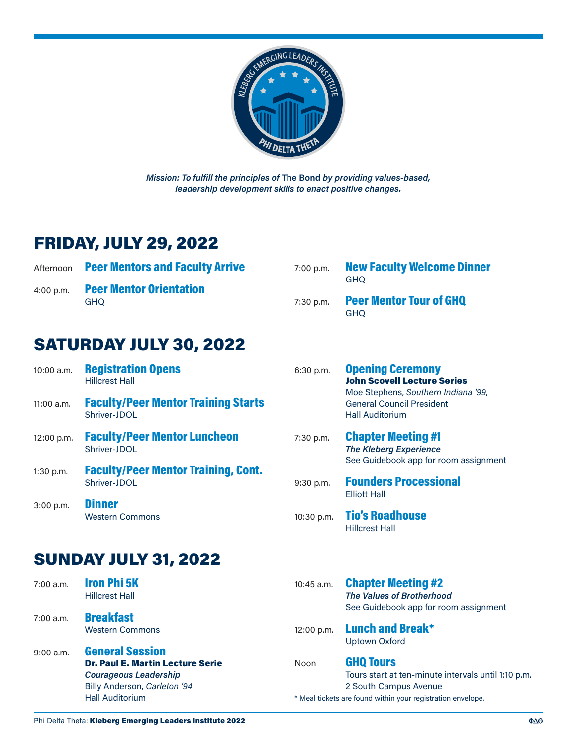

*Mission: To fulfill the principles of* **The Bond** *by providing values-based, leadership development skills to enact positive changes.*

## FRIDAY, JULY 29, 2022

| Afternoon Peer Mentors and Faculty Arrive       | 7:00 p.m. | <b>New Faculty Welcome Dinner</b><br><b>GHO</b> |
|-------------------------------------------------|-----------|-------------------------------------------------|
| 4:00 p.m. Peer Mentor Orientation<br><b>GHO</b> |           | 7:30 p.m. Peer Mentor Tour of GHQ<br><b>GHO</b> |

## SATURDAY JULY 30, 2022

| 10:00 a.m.  | <b>Registration Opens</b><br><b>Hillcrest Hall</b>                                                                                                          | 6:30 p.m.    | <b>Opening Ceremony</b><br><b>John Scovell Lecture Series</b><br>Moe Stephens, Southern Indiana '99,<br><b>General Council President</b><br><b>Hall Auditorium</b> |
|-------------|-------------------------------------------------------------------------------------------------------------------------------------------------------------|--------------|--------------------------------------------------------------------------------------------------------------------------------------------------------------------|
| 11:00 a.m.  | <b>Faculty/Peer Mentor Training Starts</b><br>Shriver-JDOI                                                                                                  |              |                                                                                                                                                                    |
| 12:00 p.m.  | <b>Faculty/Peer Mentor Luncheon</b><br>Shriver-JDOI                                                                                                         | 7:30 p.m.    | <b>Chapter Meeting #1</b><br><b>The Kleberg Experience</b><br>See Guidebook app for room assignment                                                                |
| 1:30 p.m.   | <b>Faculty/Peer Mentor Training, Cont.</b><br>Shriver-JDOI                                                                                                  | 9:30 p.m.    | <b>Founders Processional</b><br><b>Elliott Hall</b>                                                                                                                |
| 3:00 p.m.   | <b>Dinner</b><br><b>Western Commons</b>                                                                                                                     | 10:30 p.m.   | <b>Tio's Roadhouse</b><br><b>Hillcrest Hall</b>                                                                                                                    |
|             | <b>SUNDAY JULY 31, 2022</b>                                                                                                                                 |              |                                                                                                                                                                    |
| $7:00$ a.m. | <b>Iron Phi 5K</b><br><b>Hillcrest Hall</b>                                                                                                                 | $10:45$ a.m. | <b>Chapter Meeting #2</b><br><b>The Values of Brotherhood</b><br>See Guidebook app for room assignment                                                             |
| $7:00$ a.m. | <b>Breakfast</b><br><b>Western Commons</b>                                                                                                                  | 12:00 p.m.   | <b>Lunch and Break*</b><br><b>Uptown Oxford</b>                                                                                                                    |
| $9:00$ a.m. | <b>General Session</b><br><b>Dr. Paul E. Martin Lecture Serie</b><br><b>Courageous Leadership</b><br>Billy Anderson, Carleton '94<br><b>Hall Auditorium</b> | Noon         | <b>GHQ Tours</b><br>Tours start at ten-minute intervals until 1:10 p.m.<br>2 South Campus Avenue<br>* Meal tickets are found within your registration envelope.    |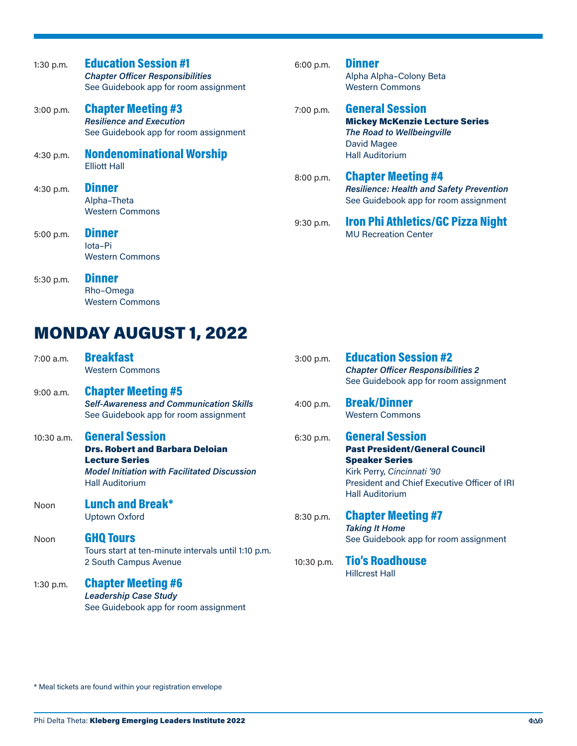| $1:30$ p.m. | <b>Education Session #1</b><br><b>Chapter Officer Responsibilities</b><br>See Guidebook app for room assignment | 6:00 p.m. | <b>Dinner</b><br>Alpha Alpha-Colony Beta<br><b>Western Commons</b>                                                    |
|-------------|-----------------------------------------------------------------------------------------------------------------|-----------|-----------------------------------------------------------------------------------------------------------------------|
| 3:00 p.m.   | <b>Chapter Meeting #3</b><br><b>Resilience and Execution</b><br>See Guidebook app for room assignment           | 7:00 p.m. | <b>General Session</b><br><b>Mickey McKenzie Lecture Series</b><br><b>The Road to Wellbeingville</b>                  |
| 4:30 p.m.   | <b>Nondenominational Worship</b><br><b>Elliott Hall</b>                                                         |           | David Magee<br><b>Hall Auditorium</b>                                                                                 |
| 4:30 p.m.   | <b>Dinner</b><br>Alpha-Theta<br><b>Western Commons</b>                                                          | 8:00 p.m. | <b>Chapter Meeting #4</b><br><b>Resilience: Health and Safety Prevention</b><br>See Guidebook app for room assignment |
| 5:00 p.m.   | <b>Dinner</b><br>lota-Pi<br><b>Western Commons</b>                                                              | 9:30 p.m. | <b>Iron Phi Athletics/GC Pizza Night</b><br><b>MU Recreation Center</b>                                               |
| 5:30 p.m.   | Dinner                                                                                                          |           |                                                                                                                       |

MONDAY AUGUST 1, 2022

Rho–Omega Western Commons

| 7:00 a.m.    | <b>Breakfast</b><br><b>Western Commons</b>          | 3:00 p.m.  | <b>Education Session #2</b>                                                        |
|--------------|-----------------------------------------------------|------------|------------------------------------------------------------------------------------|
|              |                                                     |            | <b>Chapter Officer Responsibilities 2</b><br>See Guidebook app for room assignment |
| $9:00$ a.m.  | <b>Chapter Meeting #5</b>                           |            |                                                                                    |
|              | <b>Self-Awareness and Communication Skills</b>      | 4:00 p.m.  | <b>Break/Dinner</b>                                                                |
|              | See Guidebook app for room assignment               |            | <b>Western Commons</b>                                                             |
| $10:30$ a.m. | <b>General Session</b>                              | 6:30 p.m.  | <b>General Session</b>                                                             |
|              | <b>Drs. Robert and Barbara Deloian</b>              |            | <b>Past President/General Council</b>                                              |
|              | <b>Lecture Series</b>                               |            | <b>Speaker Series</b>                                                              |
|              | <b>Model Initiation with Facilitated Discussion</b> |            | Kirk Perry, Cincinnati '90                                                         |
|              | <b>Hall Auditorium</b>                              |            | President and Chief Executive Officer of IRI<br><b>Hall Auditorium</b>             |
| Noon         | <b>Lunch and Break*</b>                             |            |                                                                                    |
|              | <b>Uptown Oxford</b>                                | 8:30 p.m.  | <b>Chapter Meeting #7</b>                                                          |
|              |                                                     |            | <b>Taking It Home</b>                                                              |
| Noon         | <b>GHQ Tours</b>                                    |            | See Guidebook app for room assignment                                              |
|              | Tours start at ten-minute intervals until 1:10 p.m. |            |                                                                                    |
|              | 2 South Campus Avenue                               | 10:30 p.m. | <b>Tio's Roadhouse</b>                                                             |
|              |                                                     |            | <b>Hillcrest Hall</b>                                                              |
| $1:30$ p.m.  | <b>Chapter Meeting #6</b>                           |            |                                                                                    |
|              | <b>Leadership Case Study</b>                        |            |                                                                                    |
|              | See Guidebook app for room assignment               |            |                                                                                    |

\* Meal tickets are found within your registration envelope